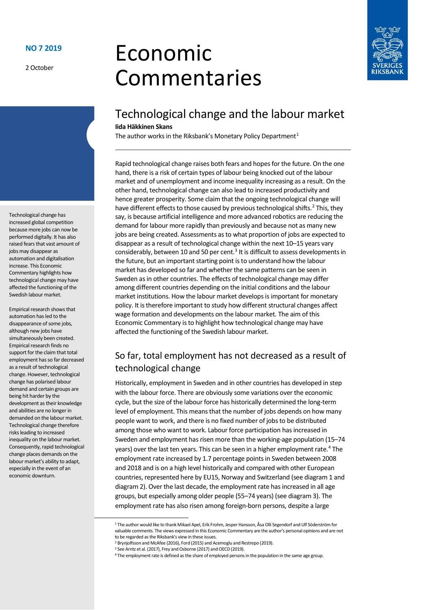2 October

# Economic Commentaries



## Technological change and the labour market

#### **Iida Häkkinen Skans**

The author works in the Riksbank's Monetary Policy Department<sup>[1](#page-0-0)</sup>

Rapid technological change raises both fears and hopes for the future. On the one hand, there is a risk of certain types of labour being knocked out of the labour market and of unemployment and income inequality increasing as a result. On the other hand, technological change can also lead to increased productivity and hence greater prosperity. Some claim that the ongoing technological change will have different effects to those caused by previous technological shifts.<sup>[2](#page-0-1)</sup> This, they say, is because artificial intelligence and more advanced robotics are reducing the demand for labour more rapidly than previously and because not as many new jobs are being created. Assessments as to what proportion of jobs are expected to disappear as a result of technological change within the next 10–15 years vary considerably, between 10 and 50 per cent. $3$  It is difficult to assess developments in the future, but an important starting point is to understand how the labour market has developed so far and whether the same patterns can be seen in Sweden as in other countries. The effects of technological change may differ among different countries depending on the initial conditions and the labour market institutions. How the labour market develops is important for monetary policy. It is therefore important to study how different structural changes affect wage formation and developments on the labour market. The aim of this Economic Commentary is to highlight how technological change may have affected the functioning of the Swedish labour market.

## So far, total employment has not decreased as a result of technological change

Historically, employment in Sweden and in other countries has developed in step with the labour force. There are obviously some variations over the economic cycle, but the size of the labour force has historically determined the long-term level of employment. This means that the number of jobs depends on how many people want to work, and there is no fixed number of jobs to be distributed among those who want to work. Labour force participation has increased in Sweden and employment has risen more than the working-age population (15–74 years) over the last ten years. This can be seen in a higher employment rate.<sup>[4](#page-0-3)</sup> The employment rate increased by 1.7 percentage points in Sweden between 2008 and 2018 and is on a high level historically and compared with other European countries, represented here by EU15, Norway and Switzerland (se[e diagram 1](#page-1-0) and [diagram 2\)](#page-2-0). Over the last decade, the employment rate has increased in all age groups, but especially among older people (55–74 years) (se[e diagram 3\)](#page-2-1). The employment rate has also risen among foreign-born persons, despite a large

Technological change has increased global competition because more jobs can now be performed digitally. It has also raised fears that vast amount of jobs may disappear as automation and digitalisation increase. This Economic Commentary highlights how technological change may have affected the functioning of the Swedish labour market.

Empirical research shows that automation has led to the disappearance of some jobs, although new jobs have simultaneously been created. Empirical research finds no support for the claim that total employment has so far decreased as a result of technological change. However, technological change has polarised labour demand and certain groups are being hit harder by the development as their knowledge and abilities are no longer in demanded on the labour market. Technological change therefore risks leading to increased inequality on the labour market. Consequently, rapid technological change places demands on the labour market's ability to adapt, especially in the event of an economic downturn.

<span id="page-0-0"></span> <sup>1</sup> The author would like to thank Mikael Apel, Erik Frohm, Jesper Hansson, Åsa Olli Segendorf and Ulf Söderström for valuable comments. The views expressed in this Economic Commentary are the author's personal opinions and are not to be regarded as the Riksbank's view in these issues.

<span id="page-0-1"></span><sup>2</sup> Brynjolfsson and McAfee (2016), Ford (2015) and Acemoglu and Restrepo (2019).

<sup>&</sup>lt;sup>3</sup> See Arntz et al. (2017), Frey and Osborne (2017) and OECD (2019).

<span id="page-0-3"></span><span id="page-0-2"></span><sup>4</sup> The employment rate is defined as the share of employed persons in the population in the same age group.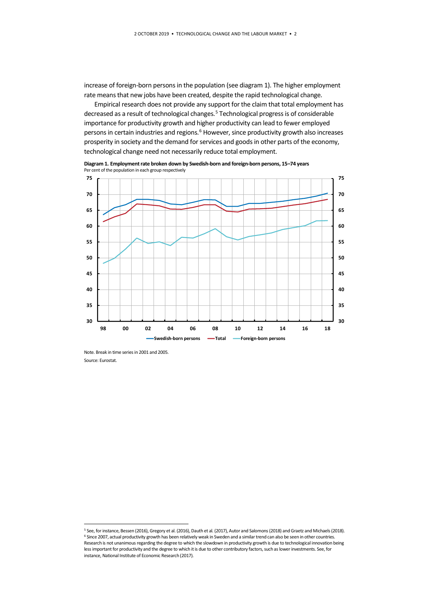increase of foreign-born persons in the population (se[e diagram 1\)](#page-1-0). The higher employment rate means that new jobs have been created, despite the rapid technological change.

Empirical research does not provide any support for the claim that total employment has decreased as a result of technological changes. [5](#page-1-1) Technological progressis of considerable importance for productivity growth and higher productivity can lead to fewer employed persons in certain industries and regions.<sup>6</sup> However, since productivity growth also increases prosperity in society and the demand for services and goods in other parts of the economy, technological change need not necessarily reduce total employment.

**30 35 40 45 50 55 60 65 70 75 30 35 40 45 50 55 60 65 70 75 98 00 02 04 06 08 10 12 14 16 18 Swedish-born persons Total Foreign-born persons**

<span id="page-1-0"></span>**Diagram 1. Employment rate broken down by Swedish-born and foreign-born persons, 15–74 years** Per cent of the population in each group respectively

Note. Break in time series in 2001 and 2005. Source: Eurostat.

<span id="page-1-2"></span><span id="page-1-1"></span> <sup>5</sup> See, for instance, Bessen (2016), Gregory et al. (2016), Dauth et al. (2017), Autor and Salomons (2018) and Graetz and Michaels (2018). <sup>6</sup> Since 2007, actual productivity growth has been relatively weak in Sweden and a similar trend can also be seen in other countries. Research is not unanimous regarding the degree to which the slowdown in productivity growth is due to technological innovation being less important for productivity and the degree to which it is due to other contributory factors, such as lower investments. See, for instance, National Institute of Economic Research (2017).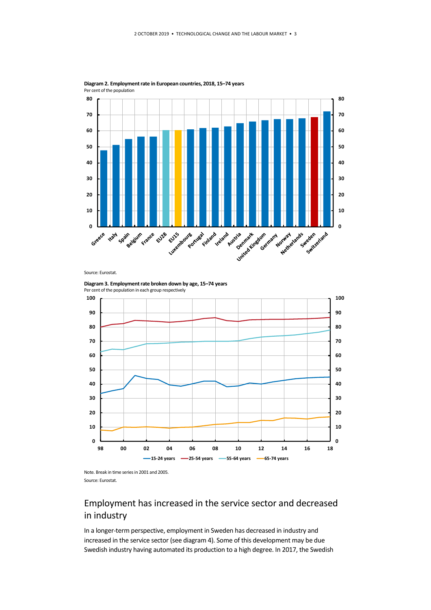

<span id="page-2-0"></span>**Diagram 2. Employment rate in European countries, 2018, 15–74 years** Per cent of the population

Source: Eurostat.

<span id="page-2-1"></span>**Diagram 3. Employment rate broken down by age, 15–74 years** Per cent of the population in each group respectively



Note. Break in time series in 2001 and 2005. Source: Eurostat.

## Employment has increased in the service sector and decreased in industry

In a longer-term perspective, employment in Sweden has decreased in industry and increased in the service sector (se[e diagram 4\)](#page-3-0). Some of this development may be due Swedish industry having automated its production to a high degree. In 2017, the Swedish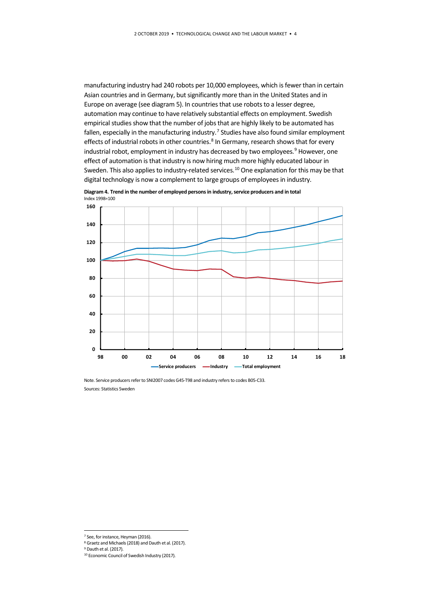manufacturing industry had 240 robots per 10,000 employees, which is fewer than in certain Asian countries and in Germany, but significantly more than in the United States and in Europe on average (se[e diagram 5\)](#page-4-0). In countries that use robots to a lesser degree, automation may continue to have relatively substantial effects on employment. Swedish empirical studies show that the number of jobs that are highly likely to be automated has fallen, especially in the manufacturing industry.<sup>[7](#page-3-1)</sup> Studies have also found similar employment effects of industrial robots in other countries.<sup>[8](#page-3-2)</sup> In Germany, research shows that for every industrial robot, employment in industry has decreased by two employees. [9](#page-3-3) However, one effect of automation is that industry is now hiring much more highly educated labour in Sweden. This also applies to industry-related services.<sup>10</sup> One explanation for this may be that digital technology is now a complement to large groups of employees in industry.



<span id="page-3-0"></span>**Diagram 4. Trend in the number of employed persons in industry, service producers and in total** Index 1998=100

Note. Service producers refer to SNI2007 codes G45-T98 and industry refers to codes B05-C33. Sources: Statistics Sweden

 <sup>7</sup> See, for instance, Heyman (2016).

<span id="page-3-3"></span><span id="page-3-2"></span><span id="page-3-1"></span><sup>8</sup> Graetz and Michaels (2018) and Dauth et al. (2017).

<span id="page-3-4"></span><sup>9</sup> Dauth et al. (2017).

<sup>10</sup> Economic Council of Swedish Industry (2017).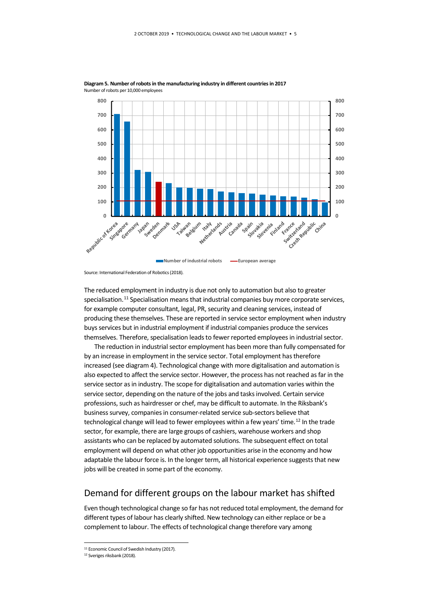

<span id="page-4-0"></span>**Diagram 5. Number of robots in the manufacturing industry in different countries in 2017** Number of robots per 10,000 employees

Source: International Federation of Robotics (2018).

The reduced employment in industry is due not only to automation but also to greater specialisation.<sup>[11](#page-4-1)</sup> Specialisation means that industrial companies buy more corporate services, for example computer consultant, legal, PR, security and cleaning services, instead of producing these themselves. These are reported in service sector employment when industry buys services but in industrial employment if industrial companies produce the services themselves. Therefore, specialisation leads to fewer reported employees in industrial sector.

The reduction in industrial sector employment has been more than fully compensated for by an increase in employment in the service sector. Total employment has therefore increased (see [diagram 4\)](#page-3-0). Technological change with more digitalisation and automation is also expected to affect the service sector. However, the process has not reached as far in the service sector as in industry. The scope for digitalisation and automation varies within the service sector, depending on the nature of the jobs and tasks involved. Certain service professions, such as hairdresser or chef, may be difficult to automate. In the Riksbank's business survey, companies in consumer-related service sub-sectors believe that technological change will lead to fewer employees within a few years' time.<sup>[12](#page-4-2)</sup> In the trade sector, for example, there are large groups of cashiers, warehouse workers and shop assistants who can be replaced by automated solutions. The subsequent effect on total employment will depend on what other job opportunities arise in the economy and how adaptable the labour force is. In the longer term, all historical experience suggests that new jobs will be created in some part of the economy.

#### Demand for different groups on the labour market has shifted

Even though technological change so far has not reduced total employment, the demand for different types of labour has clearly shifted. New technology can either replace or be a complement to labour. The effects of technological change therefore vary among

<span id="page-4-1"></span><sup>&</sup>lt;sup>11</sup> Economic Council of Swedish Industry (2017).

<span id="page-4-2"></span><sup>12</sup> Sveriges riksbank (2018).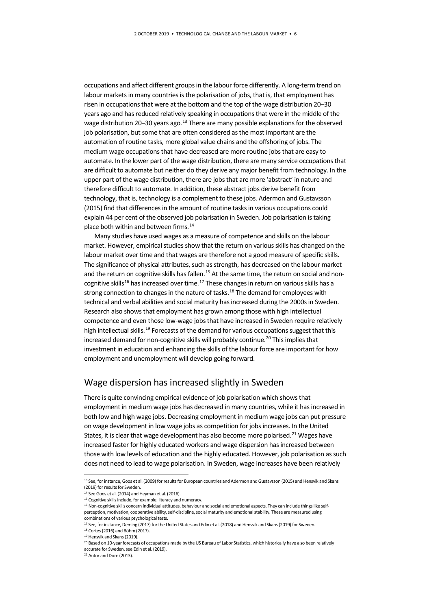occupations and affect different groups in the labour force differently. A long-term trend on labour markets in many countries is the polarisation of jobs, that is, that employment has risen in occupations that were at the bottom and the top of the wage distribution 20–30 years ago and has reduced relatively speaking in occupations that were in the middle of the wage distribution 20–30 years ago.<sup>[13](#page-5-0)</sup> There are many possible explanations for the observed job polarisation, but some that are often considered as the most important are the automation of routine tasks, more global value chains and the offshoring of jobs. The medium wage occupations that have decreased are more routine jobs that are easy to automate. In the lower part of the wage distribution, there are many service occupations that are difficult to automate but neither do they derive any major benefit from technology. In the upper part of the wage distribution, there are jobs that are more 'abstract' in nature and therefore difficult to automate. In addition, these abstract jobs derive benefit from technology, that is, technology is a complement to these jobs. Adermon and Gustavsson (2015) find that differences in the amount of routine tasks in various occupations could explain 44 per cent of the observed job polarisation in Sweden. Job polarisation is taking place both within and between firms. [14](#page-5-1)

Many studies have used wages as a measure of competence and skills on the labour market. However, empirical studies show that the return on various skills has changed on the labour market over time and that wages are therefore not a good measure of specific skills. The significance of physical attributes, such as strength, has decreased on the labour market and the return on cognitive skills has fallen.<sup>[15](#page-5-2)</sup> At the same time, the return on social and non-cognitive skills<sup>[16](#page-5-3)</sup> has increased over time.<sup>[17](#page-5-4)</sup> These changes in return on various skills has a strong connection to changes in the nature of tasks.<sup>[18](#page-5-5)</sup> The demand for employees with technical and verbal abilities and social maturity has increased during the 2000s in Sweden. Research also shows that employment has grown among those with high intellectual competence and even those low-wage jobs that have increased in Sweden require relatively high intellectual skills.<sup>[19](#page-5-6)</sup> Forecasts of the demand for various occupations suggest that this increased demand for non-cognitive skills will probably continue.<sup>[20](#page-5-7)</sup> This implies that investment in education and enhancing the skills of the labour force are important for how employment and unemployment will develop going forward.

#### Wage dispersion has increased slightly in Sweden

There is quite convincing empirical evidence of job polarisation which shows that employment in medium wage jobs has decreased in many countries, while it has increased in both low and high wage jobs. Decreasing employment in medium wage jobs can put pressure on wage development in low wage jobs as competition for jobs increases. In the United States, it is clear that wage development has also become more polarised.<sup>[21](#page-5-8)</sup> Wages have increased faster for highly educated workers and wage dispersion has increased between those with low levels of education and the highly educated. However, job polarisation as such does not need to lead to wage polarisation. In Sweden, wage increases have been relatively

<span id="page-5-0"></span> <sup>13</sup> See, for instance, Goos et al. (2009) for results for European countries and Adermon and Gustavsson (2015) and Hensvik and Skans (2019) for results for Sweden.

<span id="page-5-1"></span><sup>14</sup> See Goos et al. (2014) and Heyman et al. (2016).

<sup>&</sup>lt;sup>15</sup> Cognitive skills include, for example, literacy and numeracy.

<span id="page-5-3"></span><span id="page-5-2"></span><sup>16</sup> Non-cognitive skills concern individual attitudes, behaviour and social and emotional aspects. They can include things like selfperception, motivation, cooperative ability, self-discipline, social maturity and emotional stability. These are measured using combinations of various psychological tests.

<span id="page-5-5"></span><span id="page-5-4"></span><sup>&</sup>lt;sup>17</sup> See, for instance, Deming (2017) for the United States and Edin et al. (2018) and Hensvik and Skans (2019) for Sweden. <sup>18</sup> Cortes (2016) and Böhm (2017).

<sup>19</sup> Hensvik and Skans (2019).

<span id="page-5-7"></span><span id="page-5-6"></span><sup>&</sup>lt;sup>20</sup> Based on 10-year forecasts of occupations made by the US Bureau of Labor Statistics, which historically have also been relatively accurate for Sweden, see Edin et al. (2019).

<span id="page-5-8"></span><sup>&</sup>lt;sup>21</sup> Autor and Dorn (2013).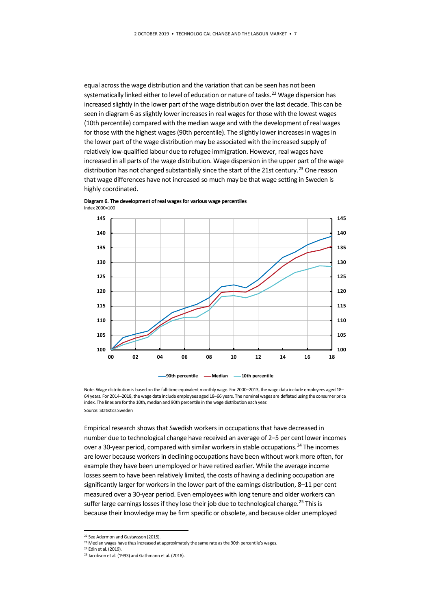equal across the wage distribution and the variation that can be seen has not been systematically linked either to level of education or nature of tasks. [22](#page-6-1) Wage dispersion has increased slightly in the lower part of the wage distribution over the last decade. This can be seen in [diagram 6](#page-6-0) as slightly lower increases in real wages for those with the lowest wages (10th percentile) compared with the median wage and with the development of real wages for those with the highest wages (90th percentile). The slightly lower increases in wages in the lower part of the wage distribution may be associated with the increased supply of relatively low-qualified labour due to refugee immigration. However, real wages have increased in all parts of the wage distribution. Wage dispersion in the upper part of the wage distribution has not changed substantially since the start of the 21st century.<sup>[23](#page-6-2)</sup> One reason that wage differences have not increased so much may be that wage setting in Sweden is highly coordinated.



<span id="page-6-0"></span>**Diagram 6. The development of real wages for various wage percentiles** Index 2000=100

Note. Wage distribution is based on the full-time equivalent monthly wage. For 2000–2013, the wage data include employees aged 18– 64 years. For 2014–2018, the wage data include employees aged 18–66 years. The nominal wages are deflated using the consumer price index. The lines are for the 10th, median and 90th percentile in the wage distribution each year. Source: Statistics Sweden

Empirical research shows that Swedish workers in occupations that have decreased in number due to technological change have received an average of 2–5 per cent lower incomes over a 30-year period, compared with similar workers in stable occupations.<sup>[24](#page-6-3)</sup> The incomes are lower because workers in declining occupations have been without work more often, for example they have been unemployed or have retired earlier. While the average income losses seem to have been relatively limited, the costs of having a declining occupation are significantly larger for workers in the lower part of the earnings distribution, 8-11 per cent measured over a 30-year period. Even employees with long tenure and older workers can suffer large earnings losses if they lose their job due to technological change.<sup>[25](#page-6-4)</sup> This is because their knowledge may be firm specific or obsolete, and because older unemployed

<sup>&</sup>lt;sup>22</sup> See Adermon and Gustavsson (2015).

<span id="page-6-3"></span><span id="page-6-2"></span><span id="page-6-1"></span><sup>&</sup>lt;sup>23</sup> Median wages have thus increased at approximately the same rate as the 90th percentile's wages.

<sup>24</sup> Edin et al. (2019).

<span id="page-6-4"></span><sup>&</sup>lt;sup>25</sup> Jacobson et al. (1993) and Gathmann et al. (2018).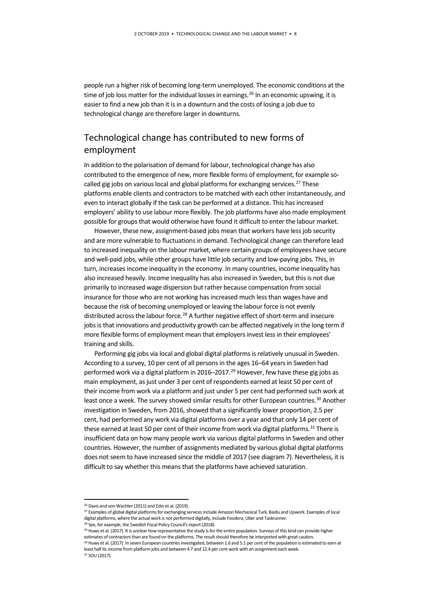people run a higher risk of becoming long-term unemployed. The economic conditions at the time of job loss matter for the individual losses in earnings. [26](#page-7-0) In an economic upswing, it is easier to find a new job than it is in a downturn and the costs of losing a job due to technological change are therefore larger in downturns.

## Technological change has contributed to new forms of employment

In addition to the polarisation of demand for labour, technological change has also contributed to the emergence of new, more flexible forms of employment, for example so-called gig jobs on various local and global platforms for exchanging services.<sup>[27](#page-7-1)</sup> These platforms enable clients and contractors to be matched with each other instantaneously, and even to interact globally if the task can be performed at a distance. This has increased employers' ability to use labour more flexibly. The job platforms have also made employment possible for groups that would otherwise have found it difficult to enter the labour market.

However, these new, assignment-based jobs mean that workers have less job security and are more vulnerable to fluctuations in demand. Technological change can therefore lead to increased inequality on the labour market, where certain groups of employees have secure and well-paid jobs, while other groups have little job security and low-paying jobs. This, in turn, increases income inequality in the economy. In many countries, income inequality has also increased heavily. Income inequality has also increased in Sweden, but this is not due primarily to increased wage dispersion but rather because compensation from social insurance for those who are not working has increased much less than wages have and because the risk of becoming unemployed or leaving the labour force is not evenly distributed across the labour force.<sup>28</sup> A further negative effect of short-term and insecure jobs is that innovations and productivity growth can be affected negatively in the long term if more flexible forms of employment mean that employers invest less in their employees' training and skills.

Performing gig jobs via local and global digital platforms is relatively unusual in Sweden. According to a survey, 10 per cent of all persons in the ages 16–64 years in Sweden had performed work via a digital platform in 2016–2017.<sup>[29](#page-7-3)</sup> However, few have these gig jobs as main employment, as just under 3 per cent of respondents earned at least 50 per cent of their income from work via a platform and just under 5 per cent had performed such work at least once a week. The survey showed similar results for other European countries.<sup>[30](#page-7-4)</sup> Another investigation in Sweden, from 2016, showed that a significantly lower proportion, 2.5 per cent, had performed any work via digital platforms over a year and that only 14 per cent of these earned at least 50 per cent of their income from work via digital platforms.<sup>[31](#page-7-5)</sup> There is insufficient data on how many people work via various digital platforms in Sweden and other countries. However, the number of assignments mediated by various global digital platforms does not seem to have increased since the middle of 2017 (se[e diagram 7\)](#page-8-0). Nevertheless, it is difficult to say whether this means that the platforms have achieved saturation.

<span id="page-7-0"></span> <sup>26</sup> Davis and von Wachter (2011) and Edin et al. (2019).

<span id="page-7-1"></span><sup>&</sup>lt;sup>27</sup> Examples of global digital platforms for exchanging services include Amazon Mechanical Turk, Baidu and Upwork. Examples of local digital platforms, where the actual work is not performed digitally, include Foodora, Uber and Taskrunner.

<sup>&</sup>lt;sup>28</sup> See, for example, the Swedish Fiscal Policy Council's report (2018).

<span id="page-7-3"></span><span id="page-7-2"></span><sup>&</sup>lt;sup>29</sup> Huws et al. (2017). It is unclear how representative the study is for the entire population. Surveys of this kind can provide higher estimates of contractors than are found on the platforms. The result should therefore be interpreted with great caution.

<span id="page-7-5"></span><span id="page-7-4"></span><sup>&</sup>lt;sup>30</sup> Huws et al. (2017). In seven European countries investigated, between 1.6 and 5.1 per cent of the population is estimated to earn at least half its income from platform jobs and between 4.7 and 12.4 per cent work with an assignment each week.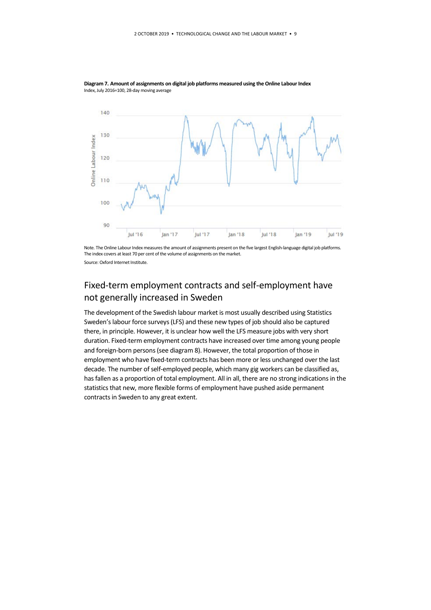

<span id="page-8-0"></span>**Diagram 7. Amount of assignments on digital job platforms measured using the Online Labour Index** Index, July 2016=100, 28-day moving average

Note. The Online Labour Index measures the amount of assignments present on the five largest English-language digital job platforms. The index covers at least 70 per cent of the volume of assignments on the market. Source: Oxford Internet Institute.

## Fixed-term employment contracts and self-employment have not generally increased in Sweden

The development of the Swedish labour market is most usually described using Statistics Sweden's labour force surveys (LFS) and these new types of job should also be captured there, in principle. However, it is unclear how well the LFS measure jobs with very short duration. Fixed-term employment contracts have increased over time among young people and foreign-born persons(se[e diagram 8\)](#page-9-0). However, the total proportion of those in employment who have fixed-term contracts has been more or less unchanged over the last decade. The number of self-employed people, which many gig workers can be classified as, has fallen as a proportion of total employment. All in all, there are no strong indications in the statistics that new, more flexible forms of employment have pushed aside permanent contracts in Sweden to any great extent.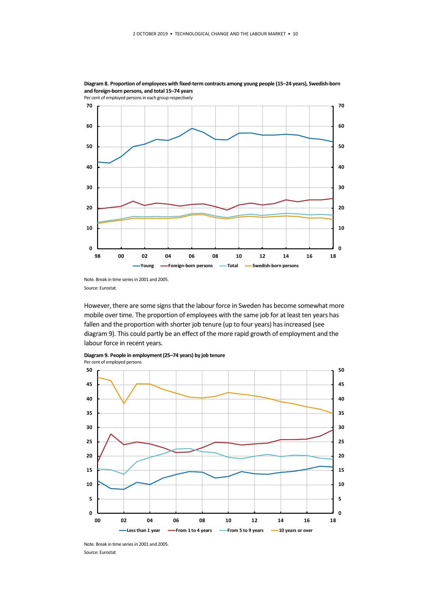

<span id="page-9-0"></span>**Diagram 8. Proportion of employees with fixed-term contracts among young people (15–24 years), Swedish-born and foreign-born persons, and total 15–74 years** 

However, there are some signs that the labour force in Sweden has become somewhat more mobile over time. The proportion of employees with the same job for at least ten years has fallen and the proportion with shorter job tenure (up to four years) has increased (see [diagram 9\)](#page-9-1). This could partly be an effect of the more rapid growth of employment and the labour force in recent years.



<span id="page-9-1"></span>

Note. Break in time series in 2001 and 2005. Source: Eurostat

Note. Break in time series in 2001 and 2005. Source: Eurostat.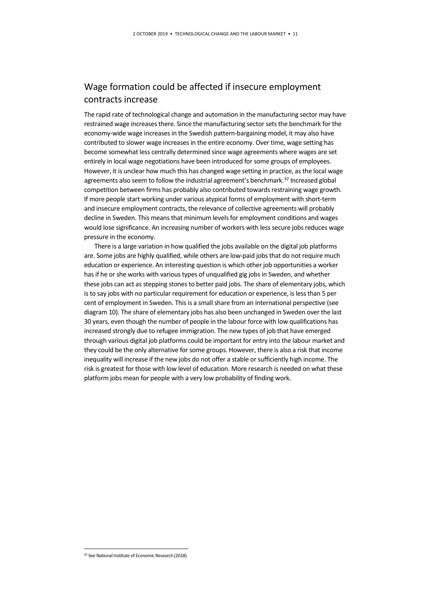### Wage formation could be affected if insecure employment contracts increase

The rapid rate of technological change and automation in the manufacturing sector may have restrained wage increases there. Since the manufacturing sector sets the benchmark for the economy-wide wage increases in the Swedish pattern-bargaining model, it may also have contributed to slower wage increases in the entire economy. Over time, wage setting has become somewhat less centrally determined since wage agreements where wages are set entirely in local wage negotiations have been introduced for some groups of employees. However, it is unclear how much this has changed wage setting in practice, as the local wage agreements also seem to follow the industrial agreement's benchmark.<sup>[32](#page-10-0)</sup> Increased global competition between firms has probably also contributed towards restraining wage growth. If more people start working under various atypical forms of employment with short-term and insecure employment contracts, the relevance of collective agreements will probably decline in Sweden. This means that minimum levels for employment conditions and wages would lose significance. An increasing number of workers with less secure jobs reduces wage pressure in the economy.

There is a large variation in how qualified the jobs available on the digital job platforms are. Some jobs are highly qualified, while others are low-paid jobs that do not require much education or experience. An interesting question is which other job opportunities a worker has if he or she works with various types of unqualified gig jobs in Sweden, and whether these jobs can act as stepping stones to better paid jobs. The share of elementary jobs, which is to say jobs with no particular requirement for education or experience, is less than 5 per cent of employment in Sweden. This is a small share from an international perspective (see [diagram 10\)](#page-11-0). The share of elementary jobs has also been unchanged in Sweden over the last 30 years, even though the number of people in the labour force with low qualifications has increased strongly due to refugee immigration. The new types of job that have emerged through various digital job platforms could be important for entry into the labour market and they could be the only alternative for some groups. However, there is also a risk that income inequality will increase if the new jobs do not offer a stable or sufficiently high income. The risk is greatest for those with low level of education. More research is needed on what these platform jobs mean for people with a very low probability of finding work.

<span id="page-10-0"></span><sup>&</sup>lt;sup>32</sup> See National Institute of Economic Research (2018).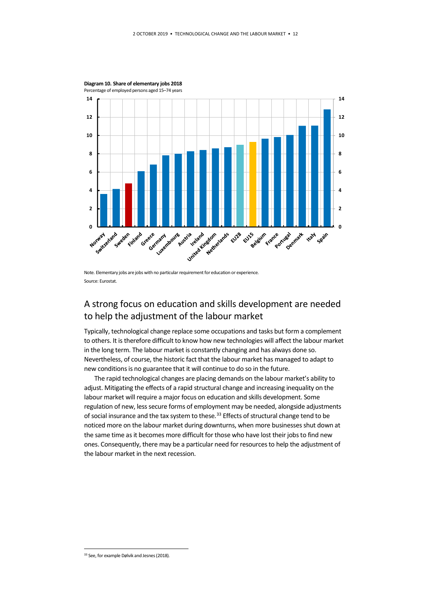<span id="page-11-0"></span>

Note. Elementary jobs are jobs with no particular requirement for education or experience. Source: Eurostat.

## A strong focus on education and skills development are needed to help the adjustment of the labour market

Typically, technological change replace some occupations and tasks but form a complement to others. It is therefore difficult to know how new technologies will affect the labour market in the long term. The labour market is constantly changing and has always done so. Nevertheless, of course, the historic fact that the labour market has managed to adapt to new conditions is no guarantee that it will continue to do so in the future.

The rapid technological changes are placing demands on the labour market's ability to adjust. Mitigating the effects of a rapid structural change and increasing inequality on the labour market will require a major focus on education and skills development. Some regulation of new, less secure forms of employment may be needed, alongside adjustments of social insurance and the tax system to these.<sup>33</sup> Effects of structural change tend to be noticed more on the labour market during downturns, when more businesses shut down at the same time as it becomes more difficult for those who have lost their jobs to find new ones. Consequently, there may be a particular need for resources to help the adjustment of the labour market in the next recession.

<span id="page-11-1"></span><sup>&</sup>lt;sup>33</sup> See, for example Dølvik and Jesnes (2018).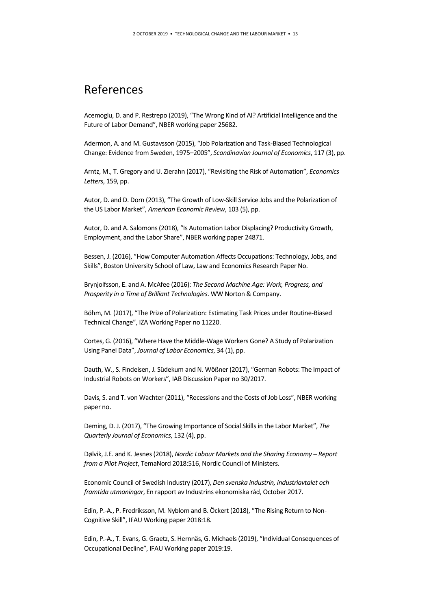## References

Acemoglu, D. and P. Restrepo (2019), "The Wrong Kind of AI? Artificial Intelligence and the Future of Labor Demand", NBER working paper 25682.

Adermon, A. and M. Gustavsson (2015), "Job Polarization and Task-Biased Technological Change: Evidence from Sweden, 1975–2005", *Scandinavian Journal of Economics*, 117 (3), pp.

Arntz, M., T. Gregory and U. Zierahn (2017), "Revisiting the Risk of Automation", *Economics Letters*, 159, pp.

Autor, D. and D. Dorn (2013), "The Growth of Low-Skill Service Jobs and the Polarization of the US Labor Market", *American Economic Review*, 103 (5), pp.

Autor, D. and A. Salomons (2018), "Is Automation Labor Displacing? Productivity Growth, Employment, and the Labor Share", NBER working paper 24871.

Bessen, J. (2016), "How Computer Automation Affects Occupations: Technology, Jobs, and Skills", Boston University School of Law, Law and Economics Research Paper No.

Brynjolfsson, E. and A. McAfee (2016): *The Second Machine Age: Work, Progress, and Prosperity in a Time of Brilliant Technologies*. WW Norton & Company.

Böhm, M. (2017), "The Prize of Polarization: Estimating Task Prices under Routine-Biased Technical Change", IZA Working Paper no 11220.

Cortes, G. (2016), "Where Have the Middle-Wage Workers Gone? A Study of Polarization Using Panel Data", *Journal of Labor Economics*, 34 (1), pp.

Dauth, W., S. Findeisen, J. Südekum and N. Wößner (2017), "German Robots: The Impact of Industrial Robots on Workers", IAB Discussion Paper no 30/2017.

Davis, S. and T. von Wachter (2011), "Recessions and the Costs of Job Loss", NBER working paper no.

Deming, D. J. (2017), "The Growing Importance of Social Skills in the Labor Market", *The Quarterly Journal of Economics*, 132 (4), pp.

Dølvik, J.E. and K. Jesnes (2018), *Nordic Labour Markets and the Sharing Economy – Report from a Pilot Project*, TemaNord 2018:516, Nordic Council of Ministers.

Economic Council of Swedish Industry (2017), *Den svenska industrin, industriavtalet och framtida utmaningar*, En rapport av Industrins ekonomiska råd, October 2017.

Edin, P.-A., P. Fredriksson, M. Nyblom and B. Öckert (2018), "The Rising Return to Non-Cognitive Skill", IFAU Working paper 2018:18.

Edin, P.-A., T. Evans, G. Graetz, S. Hernnäs, G. Michaels (2019), "Individual Consequences of Occupational Decline", IFAU Working paper 2019:19.